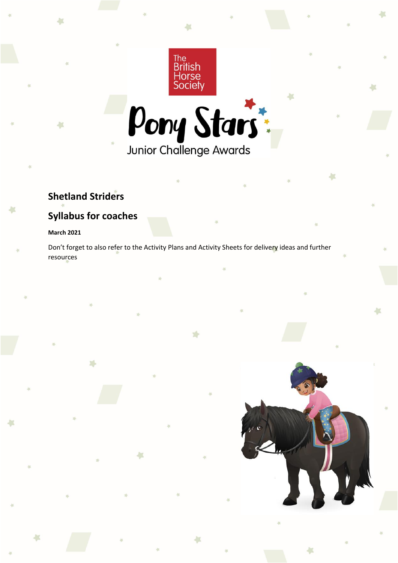

 $\mathbf{r}$ 



# **Shetland Striders**

# **Syllabus for coaches**

X.

## **March 2021**

Don't forget to also refer to the Activity Plans and Activity Sheets for delivery ideas and further resources

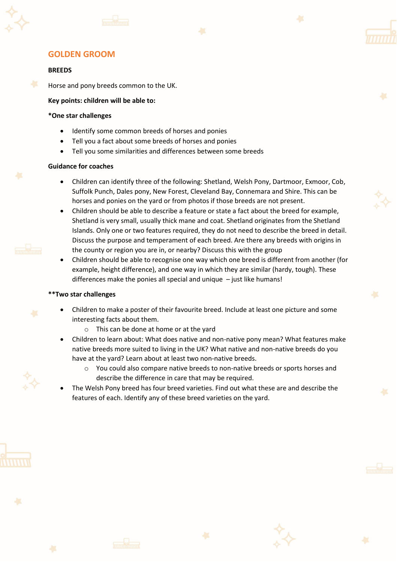





#### **BREEDS**

Horse and pony breeds common to the UK.

#### **Key points: children will be able to:**

#### **\*One star challenges**

- Identify some common breeds of horses and ponies
- Tell you a fact about some breeds of horses and ponies
- Tell you some similarities and differences between some breeds

#### **Guidance for coaches**

- Children can identify three of the following: Shetland, Welsh Pony, Dartmoor, Exmoor, Cob, Suffolk Punch, Dales pony, New Forest, Cleveland Bay, Connemara and Shire. This can be horses and ponies on the yard or from photos if those breeds are not present.
- Children should be able to describe a feature or state a fact about the breed for example, Shetland is very small, usually thick mane and coat. Shetland originates from the Shetland Islands. Only one or two features required, they do not need to describe the breed in detail. Discuss the purpose and temperament of each breed. Are there any breeds with origins in the county or region you are in, or nearby? Discuss this with the group
- Children should be able to recognise one way which one breed is different from another (for example, height difference), and one way in which they are similar (hardy, tough). These differences make the ponies all special and unique  $-$  just like humans!

- Children to make a poster of their favourite breed. Include at least one picture and some interesting facts about them.
	- o This can be done at home or at the yard
- Children to learn about: What does native and non-native pony mean? What features make native breeds more suited to living in the UK? What native and non-native breeds do you have at the yard? Learn about at least two non-native breeds.
	- o You could also compare native breeds to non-native breeds or sports horses and describe the difference in care that may be required.
- The Welsh Pony breed has four breed varieties. Find out what these are and describe the features of each. Identify any of these breed varieties on the yard.





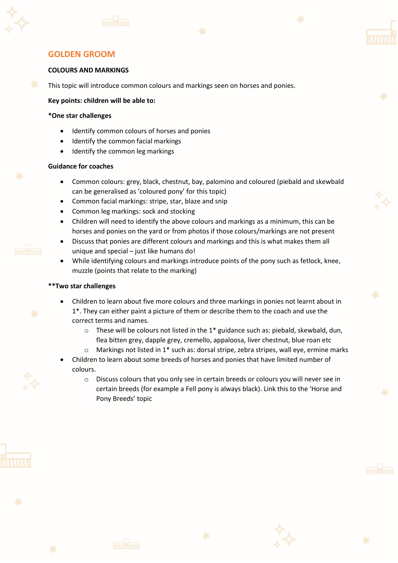





#### **COLOURS AND MARKINGS**

This topic will introduce common colours and markings seen on horses and ponies.

#### **Key points: children will be able to:**

#### **\*One star challenges**

- Identify common colours of horses and ponies
- Identify the common facial markings
- Identify the common leg markings

#### **Guidance for coaches**

- Common colours: grey, black, chestnut, bay, palomino and coloured (piebald and skewbald can be generalised as 'coloured pony' for this topic)
- Common facial markings: stripe, star, blaze and snip
- Common leg markings: sock and stocking
- Children will need to identify the above colours and markings as a minimum, this can be horses and ponies on the yard or from photos if those colours/markings are not present
- Discuss that ponies are different colours and markings and this is what makes them all unique and special – just like humans do!
- While identifying colours and markings introduce points of the pony such as fetlock, knee, muzzle (points that relate to the marking)

- Children to learn about five more colours and three markings in ponies not learnt about in 1\*. They can either paint a picture of them or describe them to the coach and use the correct terms and names.
	- $\circ$  These will be colours not listed in the 1\* guidance such as: piebald, skewbald, dun, flea bitten grey, dapple grey, cremello, appaloosa, liver chestnut, blue roan etc
	- $\circ$  Markings not listed in 1<sup>\*</sup> such as: dorsal stripe, zebra stripes, wall eye, ermine marks
- Children to learn about some breeds of horses and ponies that have limited number of colours.
	- o Discuss colours that you only see in certain breeds or colours you will never see in certain breeds (for example a Fell pony is always black). Link this to the 'Horse and Pony Breeds' topic







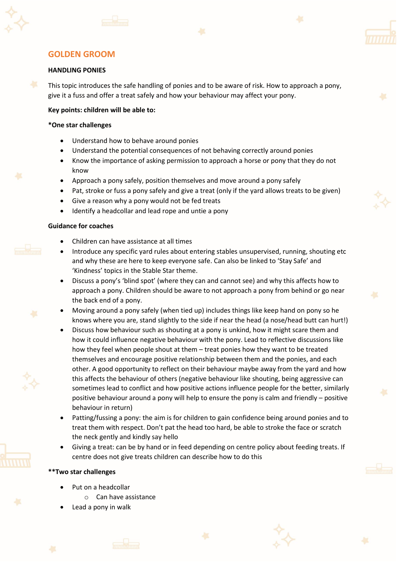





#### **HANDLING PONIES**

This topic introduces the safe handling of ponies and to be aware of risk. How to approach a pony, give it a fuss and offer a treat safely and how your behaviour may affect your pony.

#### **Key points: children will be able to:**

#### **\*One star challenges**

- Understand how to behave around ponies
- Understand the potential consequences of not behaving correctly around ponies
- Know the importance of asking permission to approach a horse or pony that they do not know
- Approach a pony safely, position themselves and move around a pony safely
- Pat, stroke or fuss a pony safely and give a treat (only if the yard allows treats to be given)
- Give a reason why a pony would not be fed treats
- Identify a headcollar and lead rope and untie a pony

#### **Guidance for coaches**

- Children can have assistance at all times
- Introduce any specific yard rules about entering stables unsupervised, running, shouting etc and why these are here to keep everyone safe. Can also be linked to 'Stay Safe' and 'Kindness' topics in the Stable Star theme.
- Discuss a pony's 'blind spot' (where they can and cannot see) and why this affects how to approach a pony. Children should be aware to not approach a pony from behind or go near the back end of a pony.
- Moving around a pony safely (when tied up) includes things like keep hand on pony so he knows where you are, stand slightly to the side if near the head (a nose/head butt can hurt!)
- Discuss how behaviour such as shouting at a pony is unkind, how it might scare them and how it could influence negative behaviour with the pony. Lead to reflective discussions like how they feel when people shout at them – treat ponies how they want to be treated themselves and encourage positive relationship between them and the ponies, and each other. A good opportunity to reflect on their behaviour maybe away from the yard and how this affects the behaviour of others (negative behaviour like shouting, being aggressive can sometimes lead to conflict and how positive actions influence people for the better, similarly positive behaviour around a pony will help to ensure the pony is calm and friendly – positive behaviour in return)
- Patting/fussing a pony: the aim is for children to gain confidence being around ponies and to treat them with respect. Don't pat the head too hard, be able to stroke the face or scratch the neck gently and kindly say hello
- Giving a treat: can be by hand or in feed depending on centre policy about feeding treats. If centre does not give treats children can describe how to do this

- Put on a headcollar
	- o Can have assistance
- Lead a pony in walk









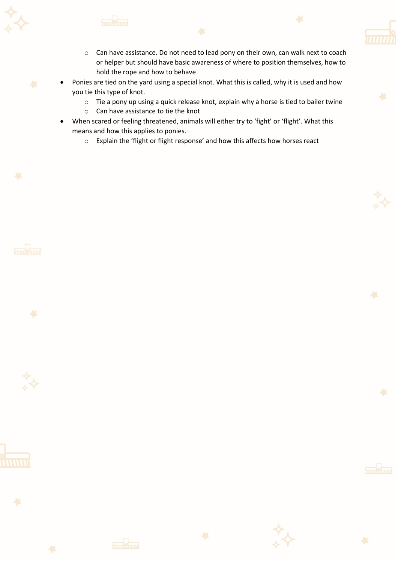

- o Can have assistance. Do not need to lead pony on their own, can walk next to coach or helper but should have basic awareness of where to position themselves, how to hold the rope and how to behave
- Ponies are tied on the yard using a special knot. What this is called, why it is used and how you tie this type of knot.
	- o Tie a pony up using a quick release knot, explain why a horse is tied to bailer twine
	- o Can have assistance to tie the knot
- When scared or feeling threatened, animals will either try to 'fight' or 'flight'. What this means and how this applies to ponies.
	- o Explain the 'flight or flight response' and how this affects how horses react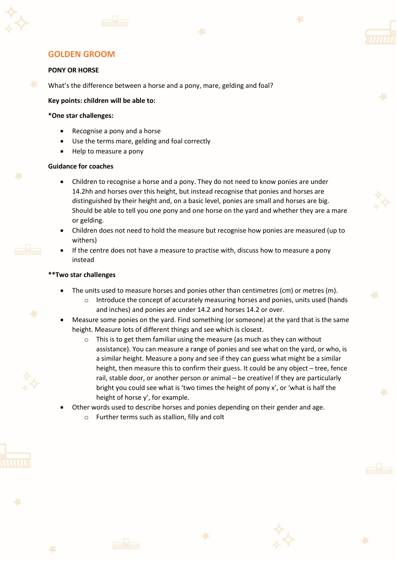





#### **PONY OR HORSE**

What's the difference between a horse and a pony, mare, gelding and foal?

#### **Key points: children will be able to:**

#### **\*One star challenges:**

- Recognise a pony and a horse
- Use the terms mare, gelding and foal correctly
- Help to measure a pony

#### **Guidance for coaches**

- Children to recognise a horse and a pony. They do not need to know ponies are under 14.2hh and horses over this height, but instead recognise that ponies and horses are distinguished by their height and, on a basic level, ponies are small and horses are big. Should be able to tell you one pony and one horse on the yard and whether they are a mare or gelding.
- Children does not need to hold the measure but recognise how ponies are measured (up to withers)
- If the centre does not have a measure to practise with, discuss how to measure a pony instead

- The units used to measure horses and ponies other than centimetres (cm) or metres (m).
	- $\circ$  Introduce the concept of accurately measuring horses and ponies, units used (hands and inches) and ponies are under 14.2 and horses 14.2 or over.
- Measure some ponies on the yard. Find something (or someone) at the yard that is the same height. Measure lots of different things and see which is closest.
	- o This is to get them familiar using the measure (as much as they can without assistance). You can measure a range of ponies and see what on the yard, or who, is a similar height. Measure a pony and see if they can guess what might be a similar height, then measure this to confirm their guess. It could be any object – tree, fence rail, stable door, or another person or animal – be creative! If they are particularly bright you could see what is 'two times the height of pony x', or 'what is half the height of horse y', for example.
- Other words used to describe horses and ponies depending on their gender and age.
	- o Further terms such as stallion, filly and colt





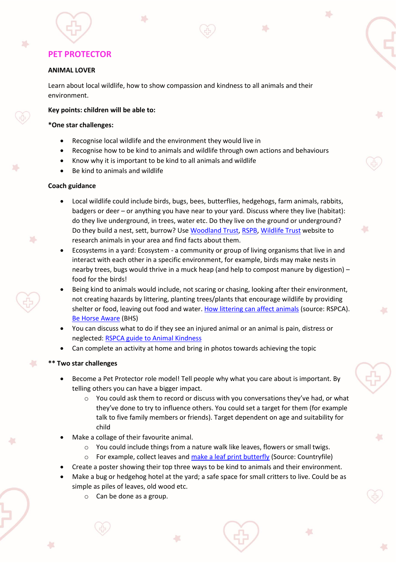#### **ANIMAL LOVER**

Learn about local wildlife, how to show compassion and kindness to all animals and their environment.

#### **Key points: children will be able to:**

#### **\*One star challenges:**

- Recognise local wildlife and the environment they would live in
- Recognise how to be kind to animals and wildlife through own actions and behaviours
- Know why it is important to be kind to all animals and wildlife
- Be kind to animals and wildlife

#### **Coach guidance**

 $\mathbf{r}$ 

- Local wildlife could include birds, bugs, bees, butterflies, hedgehogs, farm animals, rabbits, badgers or deer – or anything you have near to your yard. Discuss where they live (habitat): do they live underground, in trees, water etc. Do they live on the ground or underground? Do they build a nest, sett, burrow? Us[e Woodland Trust,](https://www.woodlandtrust.org.uk/trees-woods-and-wildlife/animals/) [RSPB,](https://www.rspb.org.uk/birds-and-wildlife/wildlife-guides/) [Wildlife Trust](https://www.wildlifetrusts.org/wildlife) website to research animals in your area and find facts about them.
- Ecosystems in a yard: Ecosystem a community or group of living organisms that live in and interact with each other in a specific environment, for example, birds may make nests in nearby trees, bugs would thrive in a muck heap (and help to compost manure by digestion) – food for the birds!
- Being kind to animals would include, not scaring or chasing, looking after their environment, not creating hazards by littering, planting trees/plants that encourage wildlife by providing shelter or food, leaving out food and water. How littering [can affect animals](https://www.rspca.org.uk/adviceandwelfare/litter) (source: RSPCA). [Be Horse Aware](https://www.bhs.org.uk/our-work/welfare/our-campaigns/be-horse-aware) (BHS)
- You can discuss what to do if they see an injured animal or an animal is pain, distress or neglected: RSPCA guide [to Animal Kindness](https://www.rspca.org.uk/webContent/staticImages/Downloads/GuideToAnimalKindness.pdf)
- Can complete an activity at home and bring in photos towards achieving the topic

#### **\*\* Two star challenges**

 $\begin{pmatrix} 1 & 1 \ 1 & 1 \end{pmatrix}$ 

- Become a Pet Protector role model! Tell people why what you care about is important. By telling others you can have a bigger impact.
	- o You could ask them to record or discuss with you conversations they've had, or what they've done to try to influence others. You could set a target for them (for example talk to five family members or friends). Target dependent on age and suitability for child
- Make a collage of their favourite animal.
	- $\circ$  You could include things from a nature walk like leaves, flowers or small twigs.
	- o For example, collect leaves and [make a leaf print butterfly](https://www.countryfile.com/how-to/crafts/how-to-make-a-leaf-print-butterfly/) (Source: Countryfile)
- Create a poster showing their top three ways to be kind to animals and their environment.
- Make a bug or hedgehog hotel at the yard; a safe space for small critters to live. Could be as simple as piles of leaves, old wood etc.
	- o Can be done as a group.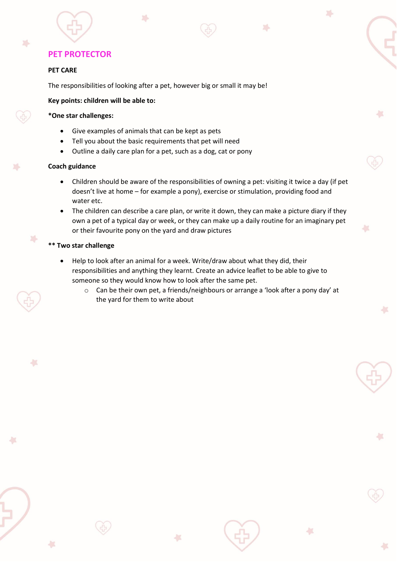#### **PET CARE**

X.

The responsibilities of looking after a pet, however big or small it may be!

#### **Key points: children will be able to:**

### **\*One star challenges:**

- Give examples of animals that can be kept as pets
- Tell you about the basic requirements that pet will need
- Outline a daily care plan for a pet, such as a dog, cat or pony

#### **Coach guidance**

• Children should be aware of the responsibilities of owning a pet: visiting it twice a day (if pet doesn't live at home – for example a pony), exercise or stimulation, providing food and water etc.

 $\overline{\phantom{a}}$ 

×

 $\overline{\phantom{a}}$ 

• The children can describe a care plan, or write it down, they can make a picture diary if they own a pet of a typical day or week, or they can make up a daily routine for an imaginary pet or their favourite pony on the yard and draw pictures

#### **\*\* Two star challenge**

 $\binom{1}{2}$ 

- Help to look after an animal for a week. Write/draw about what they did, their responsibilities and anything they learnt. Create an advice leaflet to be able to give to someone so they would know how to look after the same pet.
	- $\circ$  Can be their own pet, a friends/neighbours or arrange a 'look after a pony day' at the yard for them to write about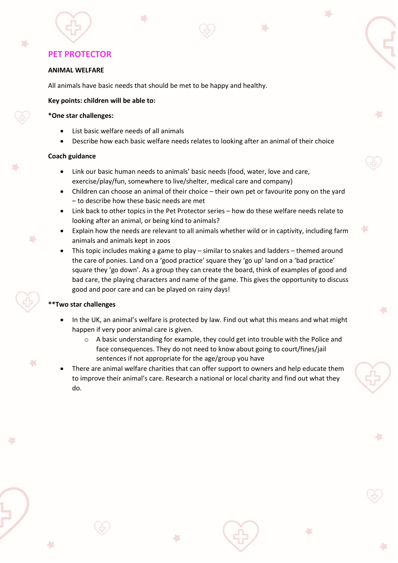#### **ANIMAL WELFARE**

All animals have basic needs that should be met to be happy and healthy.

#### **Key points: children will be able to:**

#### **\*One star challenges:**

- List basic welfare needs of all animals
- Describe how each basic welfare needs relates to looking after an animal of their choice

×

#### **Coach guidance**

- Link our basic human needs to animals' basic needs (food, water, love and care, exercise/play/fun, somewhere to live/shelter, medical care and company)
- Children can choose an animal of their choice their own pet or favourite pony on the yard – to describe how these basic needs are met
- Link back to other topics in the Pet Protector series how do these welfare needs relate to looking after an animal, or being kind to animals?
- Explain how the needs are relevant to all animals whether wild or in captivity, including farm animals and animals kept in zoos
- This topic includes making a game to play similar to snakes and ladders themed around the care of ponies. Land on a 'good practice' square they 'go up' land on a 'bad practice' square they 'go down'. As a group they can create the board, think of examples of good and bad care, the playing characters and name of the game. This gives the opportunity to discuss good and poor care and can be played on rainy days!

- In the UK, an animal's welfare is protected by law. Find out what this means and what might happen if very poor animal care is given.
	- $\circ$  A basic understanding for example, they could get into trouble with the Police and face consequences. They do not need to know about going to court/fines/jail sentences if not appropriate for the age/group you have
- There are animal welfare charities that can offer support to owners and help educate them to improve their animal's care. Research a national or local charity and find out what they do.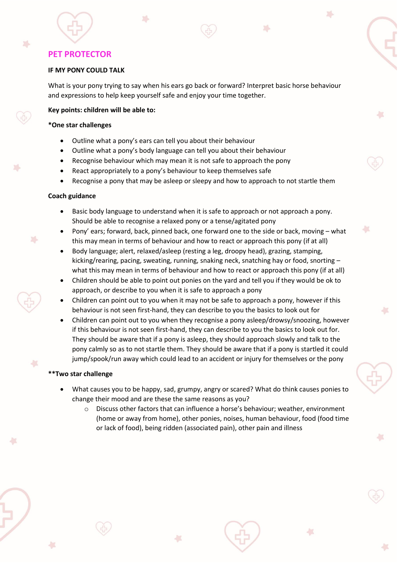踪

#### **IF MY PONY COULD TALK**

What is your pony trying to say when his ears go back or forward? Interpret basic horse behaviour and expressions to help keep yourself safe and enjoy your time together.

a.

#### **Key points: children will be able to:**

#### **\*One star challenges**

- Outline what a pony's ears can tell you about their behaviour
- Outline what a pony's body language can tell you about their behaviour
- Recognise behaviour which may mean it is not safe to approach the pony
- React appropriately to a pony's behaviour to keep themselves safe
- Recognise a pony that may be asleep or sleepy and how to approach to not startle them

#### **Coach guidance**

 $\mathbf{r}$ 

- Basic body language to understand when it is safe to approach or not approach a pony. Should be able to recognise a relaxed pony or a tense/agitated pony
- Pony' ears; forward, back, pinned back, one forward one to the side or back, moving what this may mean in terms of behaviour and how to react or approach this pony (if at all)
- Body language; alert, relaxed/asleep (resting a leg, droopy head), grazing, stamping, kicking/rearing, pacing, sweating, running, snaking neck, snatching hay or food, snorting – what this may mean in terms of behaviour and how to react or approach this pony (if at all)
- Children should be able to point out ponies on the yard and tell you if they would be ok to approach, or describe to you when it is safe to approach a pony
- Children can point out to you when it may not be safe to approach a pony, however if this behaviour is not seen first-hand, they can describe to you the basics to look out for
- Children can point out to you when they recognise a pony asleep/drowsy/snoozing, however if this behaviour is not seen first-hand, they can describe to you the basics to look out for. They should be aware that if a pony is asleep, they should approach slowly and talk to the pony calmly so as to not startle them. They should be aware that if a pony is startled it could jump/spook/run away which could lead to an accident or injury for themselves or the pony

#### **\*\*Two star challenge**

 $\begin{pmatrix} 1 & 1 \\ 1 & 1 \end{pmatrix}$ 

- What causes you to be happy, sad, grumpy, angry or scared? What do think causes ponies to change their mood and are these the same reasons as you?
	- $\circ$  Discuss other factors that can influence a horse's behaviour; weather, environment (home or away from home), other ponies, noises, human behaviour, food (food time or lack of food), being ridden (associated pain), other pain and illness

A.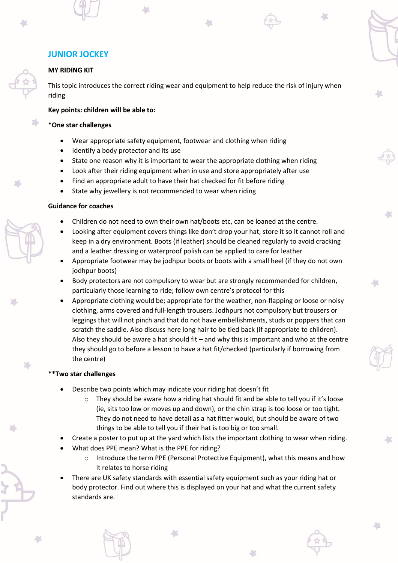## **JUNIOR JOCKEY**

#### **MY RIDING KIT**

47

This topic introduces the correct riding wear and equipment to help reduce the risk of injury when riding

#### **Key points: children will be able to:**

#### **\*One star challenges**

- Wear appropriate safety equipment, footwear and clothing when riding
- Identify a body protector and its use
- State one reason why it is important to wear the appropriate clothing when riding
- Look after their riding equipment when in use and store appropriately after use
- Find an appropriate adult to have their hat checked for fit before riding
- State why jewellery is not recommended to wear when riding

#### **Guidance for coaches**

- Children do not need to own their own hat/boots etc, can be loaned at the centre.
- Looking after equipment covers things like don't drop your hat, store it so it cannot roll and keep in a dry environment. Boots (if leather) should be cleaned regularly to avoid cracking and a leather dressing or waterproof polish can be applied to care for leather
- Appropriate footwear may be jodhpur boots or boots with a small heel (if they do not own jodhpur boots)
- Body protectors are not compulsory to wear but are strongly recommended for children, particularly those learning to ride; follow own centre's protocol for this

 $\overline{\phantom{a}}$ 

• Appropriate clothing would be; appropriate for the weather, non-flapping or loose or noisy clothing, arms covered and full-length trousers. Jodhpurs not compulsory but trousers or leggings that will not pinch and that do not have embellishments, studs or poppers that can scratch the saddle. Also discuss here long hair to be tied back (if appropriate to children). Also they should be aware a hat should fit – and why this is important and who at the centre they should go to before a lesson to have a hat fit/checked (particularly if borrowing from the centre)

#### **\*\*Two star challenges**

Shetland Striders syllabus

- Describe two points which may indicate your riding hat doesn't fit
	- $\circ$  They should be aware how a riding hat should fit and be able to tell you if it's loose (ie, sits too low or moves up and down), or the chin strap is too loose or too tight. They do not need to have detail as a hat fitter would, but should be aware of two things to be able to tell you if their hat is too big or too small.
- Create a poster to put up at the yard which lists the important clothing to wear when riding.
- What does PPE mean? What is the PPE for riding?
	- $\circ$  Introduce the term PPE (Personal Protective Equipment), what this means and how it relates to horse riding
- There are UK safety standards with essential safety equipment such as your riding hat or body protector. Find out where this is displayed on your hat and what the current safety standards are.

47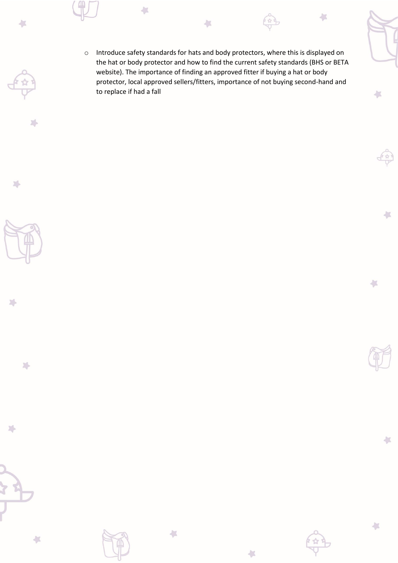o Introduce safety standards for hats and body protectors, where this is displayed on the hat or body protector and how to find the current safety standards (BHS or BETA website). The importance of finding an approved fitter if buying a hat or body protector, local approved sellers/fitters, importance of not buying second-hand and to replace if had a fall

×

 $\frac{1}{2}$ 

 $\leftarrow$ 

収

 $\leftarrow$ 

収

 $\overline{\phantom{a}}$ 

 $\sum_{i=1}^n$ 

冯

 $\leftarrow$ 

球

 $\sum_{\alpha}$ 

 $\sum_{\alpha}$ 







 $\left\langle \cdot \right\rangle$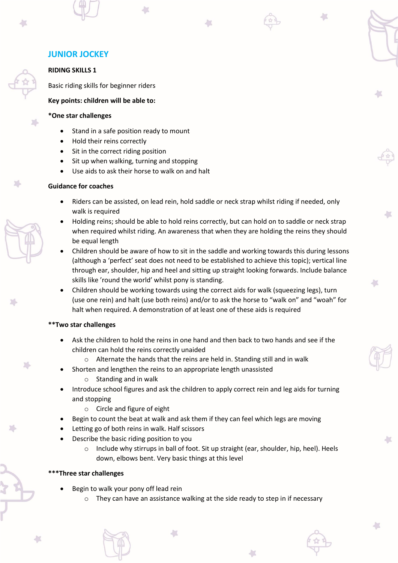### **RIDING SKILLS 1**

Basic riding skills for beginner riders

**Key points: children will be able to:**

#### **\*One star challenges**

- Stand in a safe position ready to mount
- Hold their reins correctly
- Sit in the correct riding position
- Sit up when walking, turning and stopping
- Use aids to ask their horse to walk on and halt

## **Guidance for coaches**

- Riders can be assisted, on lead rein, hold saddle or neck strap whilst riding if needed, only walk is required
- Holding reins; should be able to hold reins correctly, but can hold on to saddle or neck strap when required whilst riding. An awareness that when they are holding the reins they should be equal length
- Children should be aware of how to sit in the saddle and working towards this during lessons (although a 'perfect' seat does not need to be established to achieve this topic); vertical line through ear, shoulder, hip and heel and sitting up straight looking forwards. Include balance skills like 'round the world' whilst pony is standing.
- Children should be working towards using the correct aids for walk (squeezing legs), turn (use one rein) and halt (use both reins) and/or to ask the horse to "walk on" and "woah" for halt when required. A demonstration of at least one of these aids is required

#### **\*\*Two star challenges**

- Ask the children to hold the reins in one hand and then back to two hands and see if the children can hold the reins correctly unaided
	- o Alternate the hands that the reins are held in. Standing still and in walk
- Shorten and lengthen the reins to an appropriate length unassisted
	- $\circ$  Standing and in walk
- Introduce school figures and ask the children to apply correct rein and leg aids for turning and stopping
	- o Circle and figure of eight
- Begin to count the beat at walk and ask them if they can feel which legs are moving
- Letting go of both reins in walk. Half scissors
- Describe the basic riding position to you
	- o Include why stirrups in ball of foot. Sit up straight (ear, shoulder, hip, heel). Heels down, elbows bent. Very basic things at this level

#### **Three star challenges**

Shetland Striders syllabus

- Begin to walk your pony off lead rein
	- $\circ$  They can have an assistance walking at the side ready to step in if necessary

七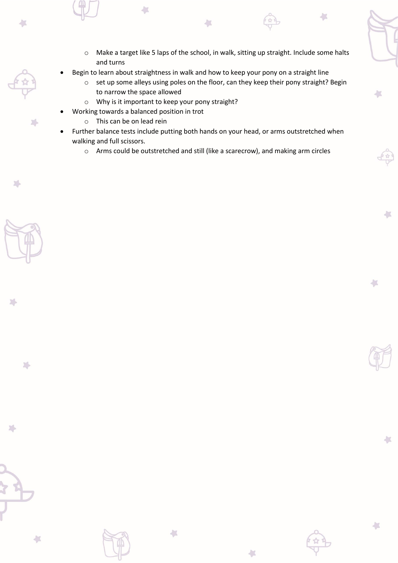o Make a target like 5 laps of the school, in walk, sitting up straight. Include some halts and turns

A.

- Begin to learn about straightness in walk and how to keep your pony on a straight line
	- o set up some alleys using poles on the floor, can they keep their pony straight? Begin to narrow the space allowed
	- o Why is it important to keep your pony straight?
- Working towards a balanced position in trot
	- o This can be on lead rein

 $\left\langle \cdot \right\rangle$ 

D.

 $\sum_{i=1}^n$ 

 $\sqrt{2}$ 

 $\sum$ 

Shetland Striders syllabus

 $\left\langle \cdot \right\rangle$ 

 $\overline{\phantom{a}}$ 

- Further balance tests include putting both hands on your head, or arms outstretched when walking and full scissors.
	- o Arms could be outstretched and still (like a scarecrow), and making arm circles

 $\sqrt{2}$ 

上

七

 $\frac{1}{2}$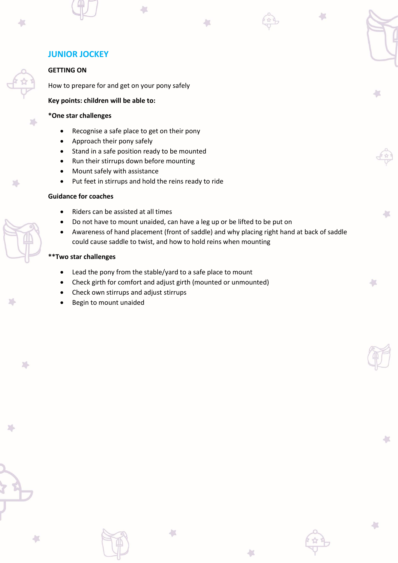### **GETTING ON**

How to prepare for and get on your pony safely

**Key points: children will be able to:**

## **\*One star challenges**

- Recognise a safe place to get on their pony
- Approach their pony safely
- Stand in a safe position ready to be mounted
- Run their stirrups down before mounting
- Mount safely with assistance
- Put feet in stirrups and hold the reins ready to ride

### **Guidance for coaches**

- Riders can be assisted at all times
- Do not have to mount unaided, can have a leg up or be lifted to be put on
- Awareness of hand placement (front of saddle) and why placing right hand at back of saddle could cause saddle to twist, and how to hold reins when mounting

 $\overline{\phantom{a}}$ 

七

### **\*\*Two star challenges**

- Lead the pony from the stable/yard to a safe place to mount
- Check girth for comfort and adjust girth (mounted or unmounted)
- Check own stirrups and adjust stirrups
- Begin to mount unaided

X.



a de la contradición de la contradición de la contradición de la contradición de la contradición de la contradición de la contradición de la contradición de la contradición de la contradición de la contradición de la contr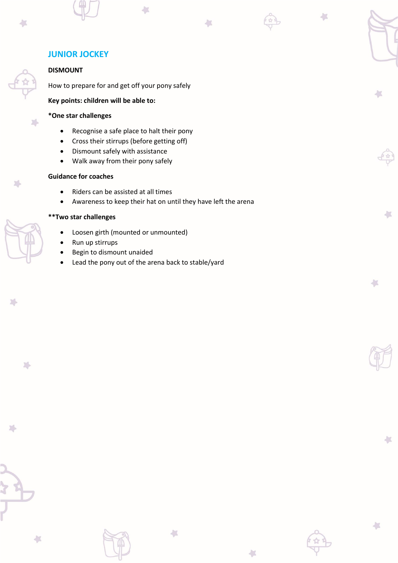## **JUNIOR JOCKEY**

## **DISMOUNT**

 $\sqrt{2}$ 

How to prepare for and get off your pony safely

**Key points: children will be able to:**

## **\*One star challenges**

- Recognise a safe place to halt their pony
- Cross their stirrups (before getting off)
- Dismount safely with assistance
- Walk away from their pony safely

## **Guidance for coaches**

- Riders can be assisted at all times
- Awareness to keep their hat on until they have left the arena

 $\left\langle \cdot \right\rangle$ 

41

 $\overline{\phantom{a}}$ 

A.

 $\leftarrow$ 

A.

Ł

## **\*\*Two star challenges**

- Loosen girth (mounted or unmounted)
- Run up stirrups
- Begin to dismount unaided
- Lead the pony out of the arena back to stable/yard

 $\sqrt{2}$ 

 $\sum_{i=1}^{n}$ 

Shetland Striders syllabus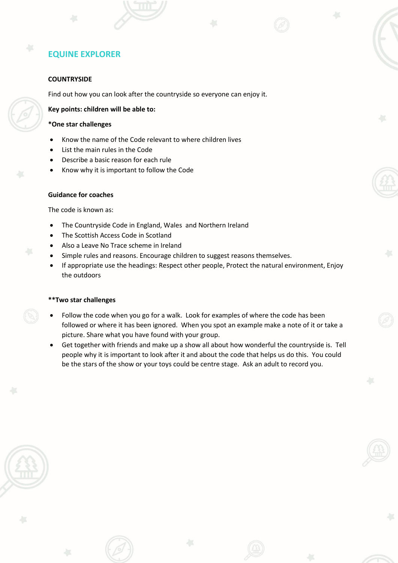#### **COUNTRYSIDE**

Find out how you can look after the countryside so everyone can enjoy it.

#### **Key points: children will be able to:**

#### **\*One star challenges**

- Know the name of the Code relevant to where children lives
- List the main rules in the Code
- Describe a basic reason for each rule
- Know why it is important to follow the Code

#### **Guidance for coaches**

The code is known as:

- The Countryside Code in England, Wales and Northern Ireland
- The Scottish Access Code in Scotland
- Also a Leave No Trace scheme in Ireland
- Simple rules and reasons. Encourage children to suggest reasons themselves.
- If appropriate use the headings: Respect other people, Protect the natural environment, Enjoy the outdoors

- Follow the code when you go for a walk. Look for examples of where the code has been followed or where it has been ignored. When you spot an example make a note of it or take a picture. Share what you have found with your group.
- Get together with friends and make up a show all about how wonderful the countryside is. Tell people why it is important to look after it and about the code that helps us do this. You could be the stars of the show or your toys could be centre stage. Ask an adult to record you.

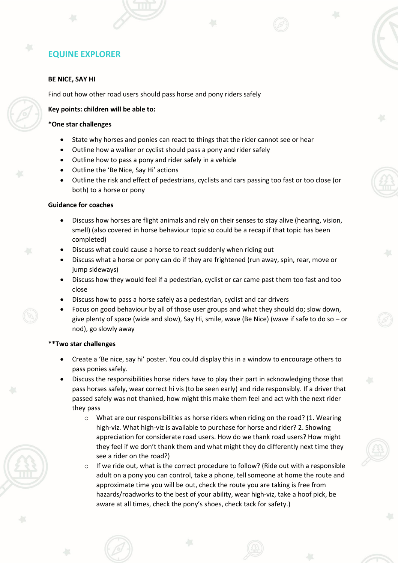#### **BE NICE, SAY HI**

Find out how other road users should pass horse and pony riders safely

#### **Key points: children will be able to:**

#### **\*One star challenges**

- State why horses and ponies can react to things that the rider cannot see or hear
- Outline how a walker or cyclist should pass a pony and rider safely
- Outline how to pass a pony and rider safely in a vehicle
- Outline the 'Be Nice, Say Hi' actions
- Outline the risk and effect of pedestrians, cyclists and cars passing too fast or too close (or both) to a horse or pony

#### **Guidance for coaches**

- Discuss how horses are flight animals and rely on their senses to stay alive (hearing, vision, smell) (also covered in horse behaviour topic so could be a recap if that topic has been completed)
- Discuss what could cause a horse to react suddenly when riding out
- Discuss what a horse or pony can do if they are frightened (run away, spin, rear, move or jump sideways)
- Discuss how they would feel if a pedestrian, cyclist or car came past them too fast and too close
- Discuss how to pass a horse safely as a pedestrian, cyclist and car drivers
- Focus on good behaviour by all of those user groups and what they should do; slow down, give plenty of space (wide and slow), Say Hi, smile, wave (Be Nice) (wave if safe to do so – or nod), go slowly away

- Create a 'Be nice, say hi' poster. You could display this in a window to encourage others to pass ponies safely.
- Discuss the responsibilities horse riders have to play their part in acknowledging those that pass horses safely, wear correct hi vis (to be seen early) and ride responsibly. If a driver that passed safely was not thanked, how might this make them feel and act with the next rider they pass
	- $\circ$  What are our responsibilities as horse riders when riding on the road? (1. Wearing high-viz. What high-viz is available to purchase for horse and rider? 2. Showing appreciation for considerate road users. How do we thank road users? How might they feel if we don't thank them and what might they do differently next time they see a rider on the road?)
	- $\circ$  If we ride out, what is the correct procedure to follow? (Ride out with a responsible adult on a pony you can control, take a phone, tell someone at home the route and approximate time you will be out, check the route you are taking is free from hazards/roadworks to the best of your ability, wear high-viz, take a hoof pick, be aware at all times, check the pony's shoes, check tack for safety.)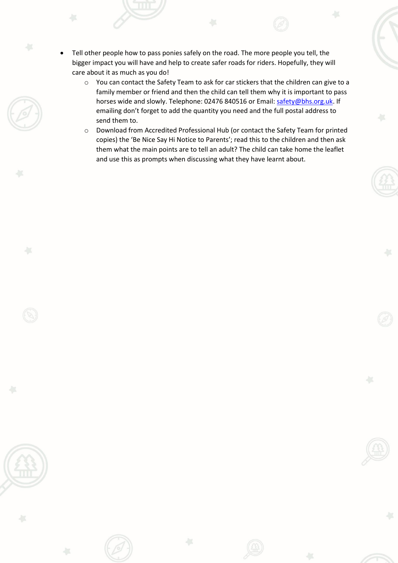- Tell other people how to pass ponies safely on the road. The more people you tell, the bigger impact you will have and help to create safer roads for riders. Hopefully, they will care about it as much as you do!
	- o You can contact the Safety Team to ask for car stickers that the children can give to a family member or friend and then the child can tell them why it is important to pass horses wide and slowly. Telephone: 02476 840516 or Email: [safety@bhs.org.uk.](mailto:safety@bhs.org.uk) If emailing don't forget to add the quantity you need and the full postal address to send them to.
	- o Download from Accredited Professional Hub (or contact the Safety Team for printed copies) the 'Be Nice Say Hi Notice to Parents'; read this to the children and then ask them what the main points are to tell an adult? The child can take home the leaflet and use this as prompts when discussing what they have learnt about.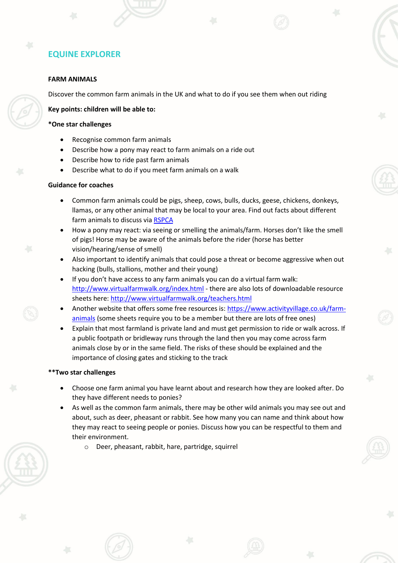#### **FARM ANIMALS**

Discover the common farm animals in the UK and what to do if you see them when out riding

#### **Key points: children will be able to:**

#### **\*One star challenges**

- Recognise common farm animals
- Describe how a pony may react to farm animals on a ride out
- Describe how to ride past farm animals
- Describe what to do if you meet farm animals on a walk

#### **Guidance for coaches**

- Common farm animals could be pigs, sheep, cows, bulls, ducks, geese, chickens, donkeys, llamas, or any other animal that may be local to your area. Find out facts about different farm animals to discuss via [RSPCA](https://www.rspca.org.uk/adviceandwelfare/farm)
- How a pony may react: via seeing or smelling the animals/farm. Horses don't like the smell of pigs! Horse may be aware of the animals before the rider (horse has better vision/hearing/sense of smell)
- Also important to identify animals that could pose a threat or become aggressive when out hacking (bulls, stallions, mother and their young)
- If you don't have access to any farm animals you can do a virtual farm walk: <http://www.virtualfarmwalk.org/index.html> - there are also lots of downloadable resource sheets here[: http://www.virtualfarmwalk.org/teachers.html](http://www.virtualfarmwalk.org/teachers.html)
- Another website that offers some free resources is: [https://www.activityvillage.co.uk/farm](https://www.activityvillage.co.uk/farm-animals)[animals](https://www.activityvillage.co.uk/farm-animals) (some sheets require you to be a member but there are lots of free ones)
- Explain that most farmland is private land and must get permission to ride or walk across. If a public footpath or bridleway runs through the land then you may come across farm animals close by or in the same field. The risks of these should be explained and the importance of closing gates and sticking to the track

- Choose one farm animal you have learnt about and research how they are looked after. Do they have different needs to ponies?
- As well as the common farm animals, there may be other wild animals you may see out and about, such as deer, pheasant or rabbit. See how many you can name and think about how they may react to seeing people or ponies. Discuss how you can be respectful to them and their environment.
	- o Deer, pheasant, rabbit, hare, partridge, squirrel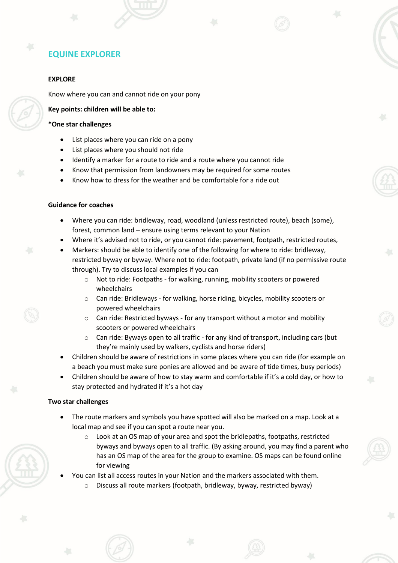#### **EXPLORE**

Know where you can and cannot ride on your pony

#### **Key points: children will be able to:**

#### **\*One star challenges**

- List places where you can ride on a pony
- List places where you should not ride
- Identify a marker for a route to ride and a route where you cannot ride
- Know that permission from landowners may be required for some routes
- Know how to dress for the weather and be comfortable for a ride out

#### **Guidance for coaches**

- Where you can ride: bridleway, road, woodland (unless restricted route), beach (some), forest, common land – ensure using terms relevant to your Nation
- Where it's advised not to ride, or you cannot ride: pavement, footpath, restricted routes,
- Markers: should be able to identify one of the following for where to ride: bridleway, restricted byway or byway. Where not to ride: footpath, private land (if no permissive route through). Try to discuss local examples if you can
	- o Not to ride: Footpaths for walking, running, mobility scooters or powered wheelchairs
	- o Can ride: Bridleways for walking, horse riding, bicycles, mobility scooters or powered wheelchairs
	- o Can ride: Restricted byways for any transport without a motor and mobility scooters or powered wheelchairs
	- o Can ride: Byways open to all traffic for any kind of transport, including cars (but they're mainly used by walkers, cyclists and horse riders)
- Children should be aware of restrictions in some places where you can ride (for example on a beach you must make sure ponies are allowed and be aware of tide times, busy periods)
- Children should be aware of how to stay warm and comfortable if it's a cold day, or how to stay protected and hydrated if it's a hot day

- The route markers and symbols you have spotted will also be marked on a map. Look at a local map and see if you can spot a route near you.
	- o Look at an OS map of your area and spot the bridlepaths, footpaths, restricted byways and byways open to all traffic. (By asking around, you may find a parent who has an OS map of the area for the group to examine. OS maps can be found online for viewing
	- You can list all access routes in your Nation and the markers associated with them.
		- Discuss all route markers (footpath, bridleway, byway, restricted byway)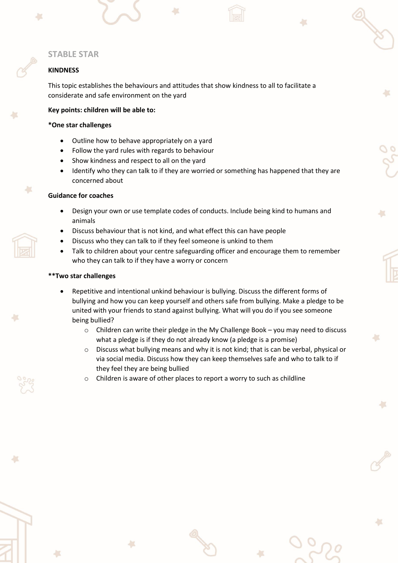## **STABLE STAR**

### **KINDNESS**

This topic establishes the behaviours and attitudes that show kindness to all to facilitate a considerate and safe environment on the yard

### **Key points: children will be able to:**

#### **\*One star challenges**

- Outline how to behave appropriately on a yard
- Follow the yard rules with regards to behaviour
- Show kindness and respect to all on the yard
- Identify who they can talk to if they are worried or something has happened that they are concerned about

### **Guidance for coaches**

- Design your own or use template codes of conducts. Include being kind to humans and animals
- Discuss behaviour that is not kind, and what effect this can have people
- Discuss who they can talk to if they feel someone is unkind to them
- Talk to children about your centre safeguarding officer and encourage them to remember who they can talk to if they have a worry or concern

- Repetitive and intentional unkind behaviour is bullying. Discuss the different forms of bullying and how you can keep yourself and others safe from bullying. Make a pledge to be united with your friends to stand against bullying. What will you do if you see someone being bullied?
	- $\circ$  Children can write their pledge in the My Challenge Book you may need to discuss what a pledge is if they do not already know (a pledge is a promise)
	- o Discuss what bullying means and why it is not kind; that is can be verbal, physical or via social media. Discuss how they can keep themselves safe and who to talk to if they feel they are being bullied
	- o Children is aware of other places to report a worry to such as childline

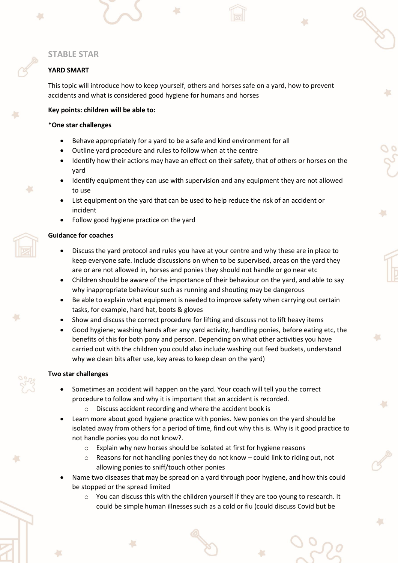## **STABLE STAR**

### **YARD SMART**

This topic will introduce how to keep yourself, others and horses safe on a yard, how to prevent accidents and what is considered good hygiene for humans and horses

#### **Key points: children will be able to:**

#### **\*One star challenges**

- Behave appropriately for a yard to be a safe and kind environment for all
- Outline yard procedure and rules to follow when at the centre
- Identify how their actions may have an effect on their safety, that of others or horses on the yard
- Identify equipment they can use with supervision and any equipment they are not allowed to use
- List equipment on the yard that can be used to help reduce the risk of an accident or incident
- Follow good hygiene practice on the yard

#### **Guidance for coaches**

43

- Discuss the yard protocol and rules you have at your centre and why these are in place to keep everyone safe. Include discussions on when to be supervised, areas on the yard they are or are not allowed in, horses and ponies they should not handle or go near etc
- Children should be aware of the importance of their behaviour on the yard, and able to say why inappropriate behaviour such as running and shouting may be dangerous
- Be able to explain what equipment is needed to improve safety when carrying out certain tasks, for example, hard hat, boots & gloves
- Show and discuss the correct procedure for lifting and discuss not to lift heavy items
- Good hygiene; washing hands after any yard activity, handling ponies, before eating etc, the benefits of this for both pony and person. Depending on what other activities you have carried out with the children you could also include washing out feed buckets, understand why we clean bits after use, key areas to keep clean on the yard)

- Sometimes an accident will happen on the yard. Your coach will tell you the correct procedure to follow and why it is important that an accident is recorded.
	- o Discuss accident recording and where the accident book is
- Learn more about good hygiene practice with ponies. New ponies on the yard should be isolated away from others for a period of time, find out why this is. Why is it good practice to not handle ponies you do not know?.
	- o Explain why new horses should be isolated at first for hygiene reasons
	- Reasons for not handling ponies they do not know could link to riding out, not allowing ponies to sniff/touch other ponies
- Name two diseases that may be spread on a yard through poor hygiene, and how this could be stopped or the spread limited
	- o You can discuss this with the children yourself if they are too young to research. It could be simple human illnesses such as a cold or flu (could discuss Covid but be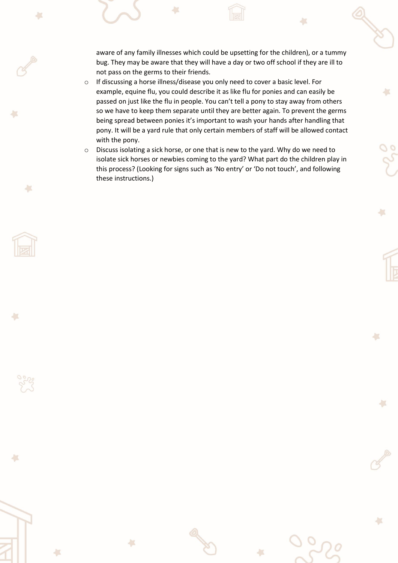aware of any family illnesses which could be upsetting for the children), or a tummy bug. They may be aware that they will have a day or two off school if they are ill to not pass on the germs to their friends.

à.

収

4X

**A** 

43

43

収

- o If discussing a horse illness/disease you only need to cover a basic level. For example, equine flu, you could describe it as like flu for ponies and can easily be passed on just like the flu in people. You can't tell a pony to stay away from others so we have to keep them separate until they are better again. To prevent the germs being spread between ponies it's important to wash your hands after handling that pony. It will be a yard rule that only certain members of staff will be allowed contact with the pony.
- o Discuss isolating a sick horse, or one that is new to the yard. Why do we need to isolate sick horses or newbies coming to the yard? What part do the children play in this process? (Looking for signs such as 'No entry' or 'Do not touch', and following these instructions.)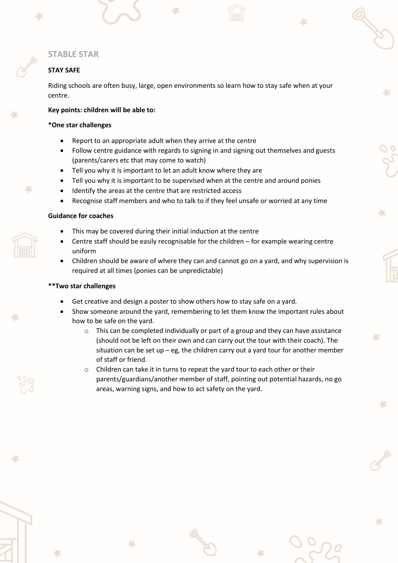### **STABLE STAR**

### **STAY SAFE**

Riding schools are often busy, large, open environments so learn how to stay safe when at your centre.

#### **Key points: children will be able to:**

#### **\*One star challenges**

- Report to an appropriate adult when they arrive at the centre
- Follow centre guidance with regards to signing in and signing out themselves and guests (parents/carers etc that may come to watch)
- Tell you why it is important to let an adult know where they are
- Tell you why it is important to be supervised when at the centre and around ponies
- Identify the areas at the centre that are restricted access
- Recognise staff members and who to talk to if they feel unsafe or worried at any time

#### **Guidance for coaches**

- This may be covered during their initial induction at the centre
- Centre staff should be easily recognisable for the children for example wearing centre uniform
- Children should be aware of where they can and cannot go on a yard, and why supervision is required at all times (ponies can be unpredictable)

- Get creative and design a poster to show others how to stay safe on a yard.
- Show someone around the yard, remembering to let them know the important rules about how to be safe on the yard.
	- $\circ$  This can be completed individually or part of a group and they can have assistance (should not be left on their own and can carry out the tour with their coach). The situation can be set up – eg, the children carry out a yard tour for another member of staff or friend.
	- $\circ$  Children can take it in turns to repeat the yard tour to each other or their parents/guardians/another member of staff, pointing out potential hazards, no go areas, warning signs, and how to act safety on the yard.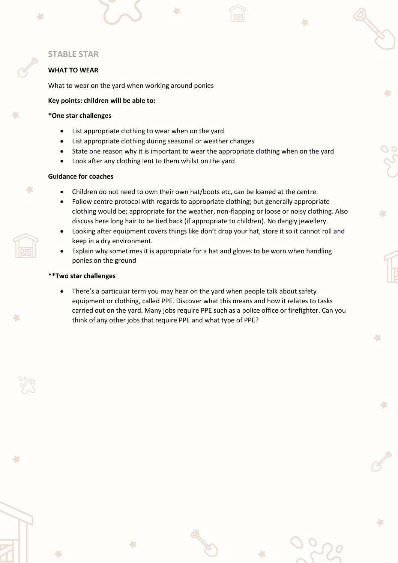### **STABLE STAR**

### **WHAT TO WEAR**

What to wear on the yard when working around ponies

#### **Key points: children will be able to:**

#### **\*One star challenges**

- List appropriate clothing to wear when on the yard
- List appropriate clothing during seasonal or weather changes
- State one reason why it is important to wear the appropriate clothing when on the yard
- Look after any clothing lent to them whilst on the yard

#### **Guidance for coaches**

×

- Children do not need to own their own hat/boots etc, can be loaned at the centre.
- Follow centre protocol with regards to appropriate clothing; but generally appropriate clothing would be; appropriate for the weather, non-flapping or loose or noisy clothing. Also discuss here long hair to be tied back (if appropriate to children). No dangly jewellery.
- Looking after equipment covers things like don't drop your hat, store it so it cannot roll and keep in a dry environment.
- Explain why sometimes it is appropriate for a hat and gloves to be worn when handling ponies on the ground

#### **\*\*Two star challenges**

• There's a particular term you may hear on the yard when people talk about safety equipment or clothing, called PPE. Discover what this means and how it relates to tasks carried out on the yard. Many jobs require PPE such as a police office or firefighter. Can you think of any other jobs that require PPE and what type of PPE?

 $\mathcal{L}$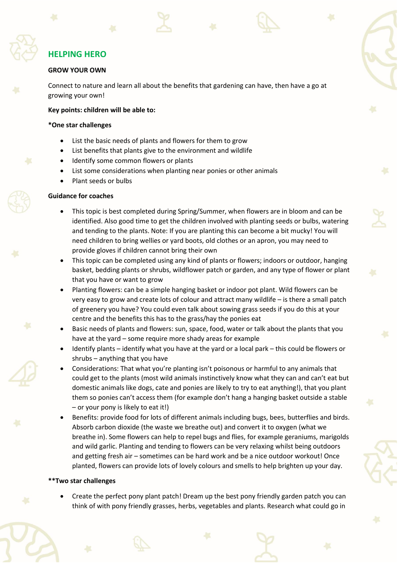#### **GROW YOUR OWN**

Connect to nature and learn all about the benefits that gardening can have, then have a go at growing your own!

#### **Key points: children will be able to:**

#### **\*One star challenges**

- List the basic needs of plants and flowers for them to grow
- List benefits that plants give to the environment and wildlife
- Identify some common flowers or plants
- List some considerations when planting near ponies or other animals
- Plant seeds or bulbs

#### **Guidance for coaches**

- This topic is best completed during Spring/Summer, when flowers are in bloom and can be identified. Also good time to get the children involved with planting seeds or bulbs, watering and tending to the plants. Note: If you are planting this can become a bit mucky! You will need children to bring wellies or yard boots, old clothes or an apron, you may need to provide gloves if children cannot bring their own
- This topic can be completed using any kind of plants or flowers; indoors or outdoor, hanging basket, bedding plants or shrubs, wildflower patch or garden, and any type of flower or plant that you have or want to grow
- Planting flowers: can be a simple hanging basket or indoor pot plant. Wild flowers can be very easy to grow and create lots of colour and attract many wildlife – is there a small patch of greenery you have? You could even talk about sowing grass seeds if you do this at your centre and the benefits this has to the grass/hay the ponies eat
- Basic needs of plants and flowers: sun, space, food, water or talk about the plants that you have at the yard – some require more shady areas for example
- Identify plants identify what you have at the yard or a local park this could be flowers or shrubs – anything that you have
- Considerations: That what you're planting isn't poisonous or harmful to any animals that could get to the plants (most wild animals instinctively know what they can and can't eat but domestic animals like dogs, cate and ponies are likely to try to eat anything!), that you plant them so ponies can't access them (for example don't hang a hanging basket outside a stable – or your pony is likely to eat it!)
- Benefits: provide food for lots of different animals including bugs, bees, butterflies and birds. Absorb carbon dioxide (the waste we breathe out) and convert it to oxygen (what we breathe in). Some flowers can help to repel bugs and flies, for example geraniums, marigolds and wild garlic. Planting and tending to flowers can be very relaxing whilst being outdoors and getting fresh air – sometimes can be hard work and be a nice outdoor workout! Once planted, flowers can provide lots of lovely colours and smells to help brighten up your day.

#### **\*\*Two star challenges**

• Create the perfect pony plant patch! Dream up the best pony friendly garden patch you can think of with pony friendly grasses, herbs, vegetables and plants. Research what could go in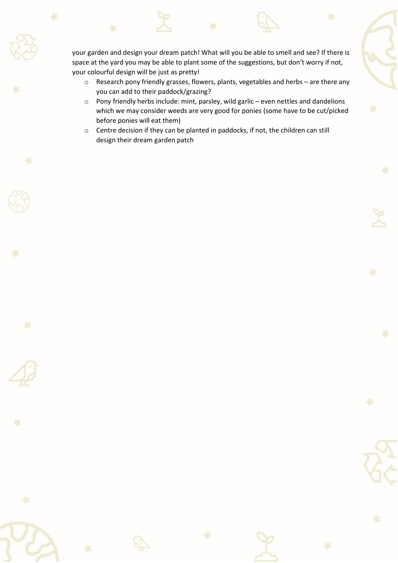your garden and design your dream patch! What will you be able to smell and see? If there is space at the yard you may be able to plant some of the suggestions, but don't worry if not, your colourful design will be just as pretty!

- o Research pony friendly grasses, flowers, plants, vegetables and herbs are there any you can add to their paddock/grazing?
- o Pony friendly herbs include: mint, parsley, wild garlic even nettles and dandelions which we may consider weeds are very good for ponies (some have to be cut/picked before ponies will eat them)
- o Centre decision if they can be planted in paddocks, if not, the children can still design their dream garden patch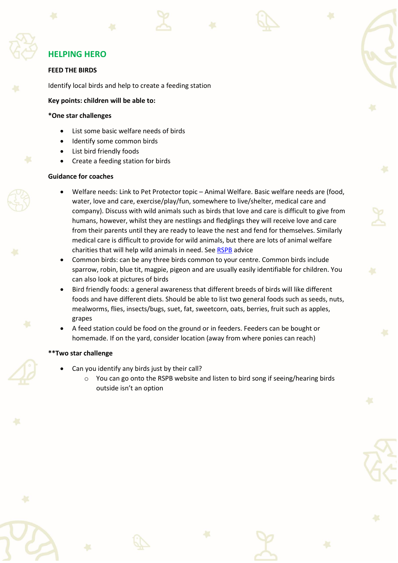#### **FEED THE BIRDS**

Identify local birds and help to create a feeding station

#### **Key points: children will be able to:**

#### **\*One star challenges**

- List some basic welfare needs of birds
- Identify some common birds
- List bird friendly foods
- Create a feeding station for birds

#### **Guidance for coaches**

- Welfare needs: Link to Pet Protector topic Animal Welfare. Basic welfare needs are (food, water, love and care, exercise/play/fun, somewhere to live/shelter, medical care and company). Discuss with wild animals such as birds that love and care is difficult to give from humans, however, whilst they are nestlings and fledglings they will receive love and care from their parents until they are ready to leave the nest and fend for themselves. Similarly medical care is difficult to provide for wild animals, but there are lots of animal welfare charities that will help wild animals in need. Se[e RSPB](https://www.rspb.org.uk/birds-and-wildlife/advice/how-you-can-help-birds/injured-and-baby-birds/baby-birds/) advice
- Common birds: can be any three birds common to your centre. Common birds include sparrow, robin, blue tit, magpie, pigeon and are usually easily identifiable for children. You can also look at pictures of birds
- Bird friendly foods: a general awareness that different breeds of birds will like different foods and have different diets. Should be able to list two general foods such as seeds, nuts, mealworms, flies, insects/bugs, suet, fat, sweetcorn, oats, berries, fruit such as apples, grapes
- A feed station could be food on the ground or in feeders. Feeders can be bought or homemade. If on the yard, consider location (away from where ponies can reach)

- Can you identify any birds just by their call?
	- $\circ$  You can go onto the RSPB website and listen to bird song if seeing/hearing birds outside isn't an option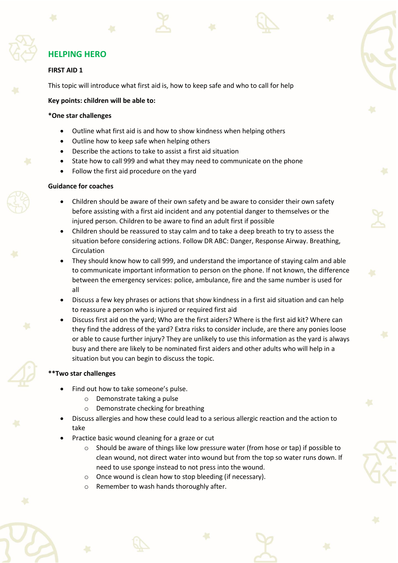

## **FIRST AID 1**

This topic will introduce what first aid is, how to keep safe and who to call for help

#### **Key points: children will be able to:**

#### **\*One star challenges**

- Outline what first aid is and how to show kindness when helping others
- Outline how to keep safe when helping others
- Describe the actions to take to assist a first aid situation
- State how to call 999 and what they may need to communicate on the phone
- Follow the first aid procedure on the yard

### **Guidance for coaches**

- Children should be aware of their own safety and be aware to consider their own safety before assisting with a first aid incident and any potential danger to themselves or the injured person. Children to be aware to find an adult first if possible
- Children should be reassured to stay calm and to take a deep breath to try to assess the situation before considering actions. Follow DR ABC: Danger, Response Airway. Breathing, Circulation
- They should know how to call 999, and understand the importance of staying calm and able to communicate important information to person on the phone. If not known, the difference between the emergency services: police, ambulance, fire and the same number is used for all
- Discuss a few key phrases or actions that show kindness in a first aid situation and can help to reassure a person who is injured or required first aid
- Discuss first aid on the yard; Who are the first aiders? Where is the first aid kit? Where can they find the address of the yard? Extra risks to consider include, are there any ponies loose or able to cause further injury? They are unlikely to use this information as the yard is always busy and there are likely to be nominated first aiders and other adults who will help in a situation but you can begin to discuss the topic.

- Find out how to take someone's pulse.
	- o Demonstrate taking a pulse
	- o Demonstrate checking for breathing
- Discuss allergies and how these could lead to a serious allergic reaction and the action to take
- Practice basic wound cleaning for a graze or cut
	- $\circ$  Should be aware of things like low pressure water (from hose or tap) if possible to clean wound, not direct water into wound but from the top so water runs down. If need to use sponge instead to not press into the wound.
	- o Once wound is clean how to stop bleeding (if necessary).
	- o Remember to wash hands thoroughly after.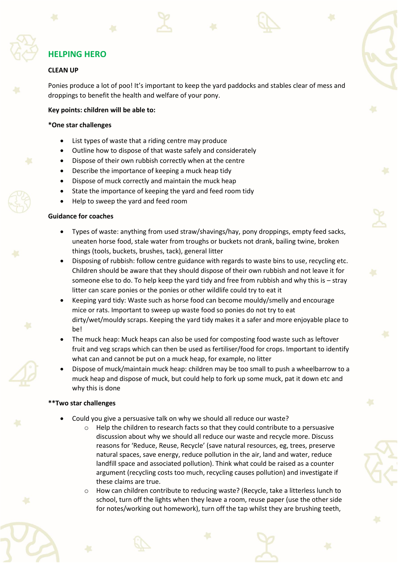#### **CLEAN UP**

Ponies produce a lot of poo! It's important to keep the yard paddocks and stables clear of mess and droppings to benefit the health and welfare of your pony.

#### **Key points: children will be able to:**

#### **\*One star challenges**

- List types of waste that a riding centre may produce
- Outline how to dispose of that waste safely and considerately
- Dispose of their own rubbish correctly when at the centre
- Describe the importance of keeping a muck heap tidy
- Dispose of muck correctly and maintain the muck heap
- State the importance of keeping the yard and feed room tidy
- Help to sweep the yard and feed room

#### **Guidance for coaches**

- Types of waste: anything from used straw/shavings/hay, pony droppings, empty feed sacks, uneaten horse food, stale water from troughs or buckets not drank, bailing twine, broken things (tools, buckets, brushes, tack), general litter
- Disposing of rubbish: follow centre guidance with regards to waste bins to use, recycling etc. Children should be aware that they should dispose of their own rubbish and not leave it for someone else to do. To help keep the yard tidy and free from rubbish and why this is – stray litter can scare ponies or the ponies or other wildlife could try to eat it
- Keeping yard tidy: Waste such as horse food can become mouldy/smelly and encourage mice or rats. Important to sweep up waste food so ponies do not try to eat dirty/wet/mouldy scraps. Keeping the yard tidy makes it a safer and more enjoyable place to be!
- The muck heap: Muck heaps can also be used for composting food waste such as leftover fruit and veg scraps which can then be used as fertiliser/food for crops. Important to identify what can and cannot be put on a muck heap, for example, no litter
- Dispose of muck/maintain muck heap: children may be too small to push a wheelbarrow to a muck heap and dispose of muck, but could help to fork up some muck, pat it down etc and why this is done

- Could you give a persuasive talk on why we should all reduce our waste?
	- $\circ$  Help the children to research facts so that they could contribute to a persuasive discussion about why we should all reduce our waste and recycle more. Discuss reasons for 'Reduce, Reuse, Recycle' (save natural resources, eg, trees, preserve natural spaces, save energy, reduce pollution in the air, land and water, reduce landfill space and associated pollution). Think what could be raised as a counter argument (recycling costs too much, recycling causes pollution) and investigate if these claims are true.
	- How can children contribute to reducing waste? (Recycle, take a litterless lunch to school, turn off the lights when they leave a room, reuse paper (use the other side for notes/working out homework), turn off the tap whilst they are brushing teeth,